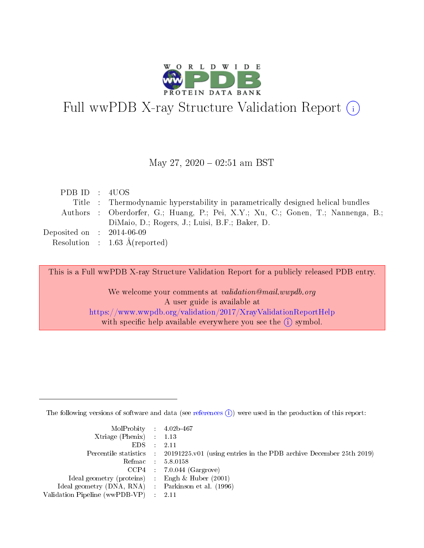

# Full wwPDB X-ray Structure Validation Report (i)

#### May 27,  $2020 - 02:51$  am BST

| PDB ID : 4UOS                        |                                                                                 |
|--------------------------------------|---------------------------------------------------------------------------------|
|                                      | Title : Thermodynamic hyperstability in parametrically designed helical bundles |
|                                      | Authors: Oberdorfer, G.; Huang, P.; Pei, X.Y.; Xu, C.; Gonen, T.; Nannenga, B.; |
|                                      | DiMaio, D.; Rogers, J.; Luisi, B.F.; Baker, D.                                  |
| Deposited on $\therefore$ 2014-06-09 |                                                                                 |
|                                      | Resolution : $1.63 \text{ Å}$ (reported)                                        |

This is a Full wwPDB X-ray Structure Validation Report for a publicly released PDB entry.

We welcome your comments at validation@mail.wwpdb.org A user guide is available at <https://www.wwpdb.org/validation/2017/XrayValidationReportHelp> with specific help available everywhere you see the  $(i)$  symbol.

The following versions of software and data (see [references](https://www.wwpdb.org/validation/2017/XrayValidationReportHelp#references)  $(i)$ ) were used in the production of this report:

| MolProbity : 4.02b-467                              |                                                                                            |
|-----------------------------------------------------|--------------------------------------------------------------------------------------------|
| $Xtriangle (Phenix)$ : 1.13                         |                                                                                            |
| $EDS = 2.11$                                        |                                                                                            |
|                                                     | Percentile statistics : 20191225.v01 (using entries in the PDB archive December 25th 2019) |
|                                                     | Refmac : 5.8.0158                                                                          |
|                                                     | $CCP4$ : 7.0.044 (Gargrove)                                                                |
| Ideal geometry (proteins) : Engh $\&$ Huber (2001)  |                                                                                            |
| Ideal geometry (DNA, RNA) : Parkinson et al. (1996) |                                                                                            |
| Validation Pipeline (wwPDB-VP) : 2.11               |                                                                                            |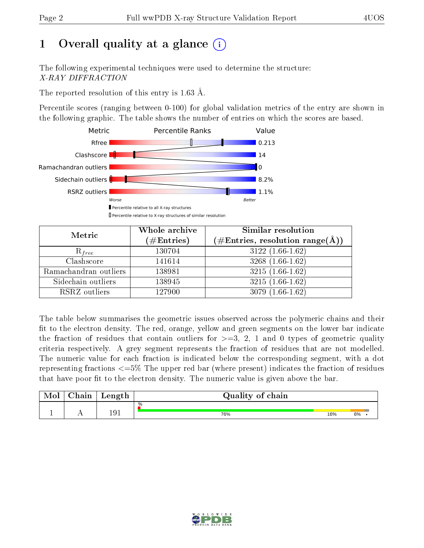# 1 [O](https://www.wwpdb.org/validation/2017/XrayValidationReportHelp#overall_quality)verall quality at a glance  $(i)$

The following experimental techniques were used to determine the structure: X-RAY DIFFRACTION

The reported resolution of this entry is 1.63 Å.

Percentile scores (ranging between 0-100) for global validation metrics of the entry are shown in the following graphic. The table shows the number of entries on which the scores are based.



| Metric                | Whole archive<br>$(\#\text{Entries})$ | Similar resolution<br>$(\#\text{Entries}, \text{resolution range}(\text{\AA}))$ |
|-----------------------|---------------------------------------|---------------------------------------------------------------------------------|
| $R_{free}$            | 130704                                | $3122(1.66-1.62)$                                                               |
| Clashscore            | 141614                                | $3268(1.66-1.62)$                                                               |
| Ramachandran outliers | 138981                                | $3215(1.66-1.62)$                                                               |
| Sidechain outliers    | 138945                                | $3215(1.66-1.62)$                                                               |
| RSRZ outliers         | 127900                                | $3079(1.66-1.62)$                                                               |

The table below summarises the geometric issues observed across the polymeric chains and their fit to the electron density. The red, orange, yellow and green segments on the lower bar indicate the fraction of residues that contain outliers for  $>=3, 2, 1$  and 0 types of geometric quality criteria respectively. A grey segment represents the fraction of residues that are not modelled. The numeric value for each fraction is indicated below the corresponding segment, with a dot representing fractions  $\epsilon=5\%$  The upper red bar (where present) indicates the fraction of residues that have poor fit to the electron density. The numeric value is given above the bar.

| Mol | $\cap$ hain | Length | Quality of chain |     |    |  |  |  |
|-----|-------------|--------|------------------|-----|----|--|--|--|
|     |             |        | %                |     |    |  |  |  |
|     |             | 191    | 76%              | 16% | 6% |  |  |  |

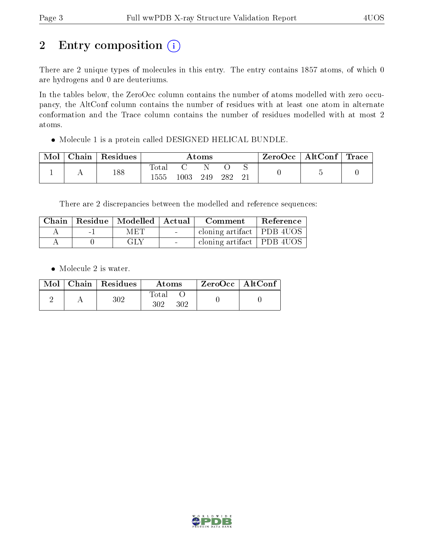# 2 Entry composition (i)

There are 2 unique types of molecules in this entry. The entry contains 1857 atoms, of which 0 are hydrogens and 0 are deuteriums.

In the tables below, the ZeroOcc column contains the number of atoms modelled with zero occupancy, the AltConf column contains the number of residues with at least one atom in alternate conformation and the Trace column contains the number of residues modelled with at most 2 atoms.

Molecule 1 is a protein called DESIGNED HELICAL BUNDLE.

| Mol | Chain | Residues | $\rm{Atoms}$             |          |     |     | ZeroOcc  | $\mathbf{AltConf}$ | <b>Trace</b> |  |
|-----|-------|----------|--------------------------|----------|-----|-----|----------|--------------------|--------------|--|
|     |       | 188      | $\mathrm{Total}$<br>1555 | $1003\,$ | 249 | 282 | ◡<br>ി 1 |                    |              |  |

There are 2 discrepancies between the modelled and reference sequences:

|        | Chain   Residue   Modelled   Actual |        | Comment                     | Reference |
|--------|-------------------------------------|--------|-----------------------------|-----------|
| $\sim$ | <b>MET</b>                          | $\sim$ | cloning artifact   PDB 4UOS |           |
|        | GLY                                 |        | cloning artifact   PDB 4UOS |           |

• Molecule 2 is water.

|  | $Mol$   Chain   Residues | Atoms               | $ZeroOcc$   AltConf |
|--|--------------------------|---------------------|---------------------|
|  | $302\,$                  | Total<br>302<br>302 |                     |

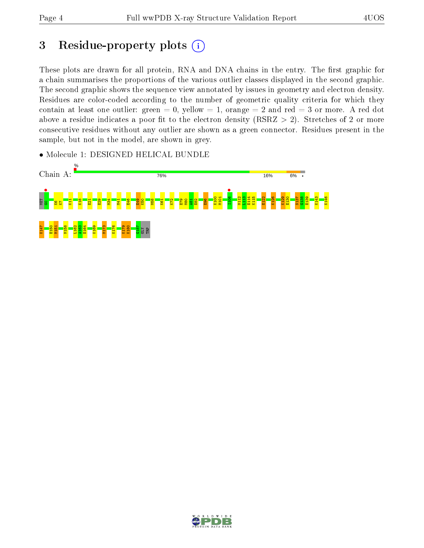## 3 Residue-property plots  $(i)$

These plots are drawn for all protein, RNA and DNA chains in the entry. The first graphic for a chain summarises the proportions of the various outlier classes displayed in the second graphic. The second graphic shows the sequence view annotated by issues in geometry and electron density. Residues are color-coded according to the number of geometric quality criteria for which they contain at least one outlier: green  $= 0$ , yellow  $= 1$ , orange  $= 2$  and red  $= 3$  or more. A red dot above a residue indicates a poor fit to the electron density (RSRZ  $> 2$ ). Stretches of 2 or more consecutive residues without any outlier are shown as a green connector. Residues present in the sample, but not in the model, are shown in grey.

• Molecule 1: DESIGNED HELICAL BUNDLE



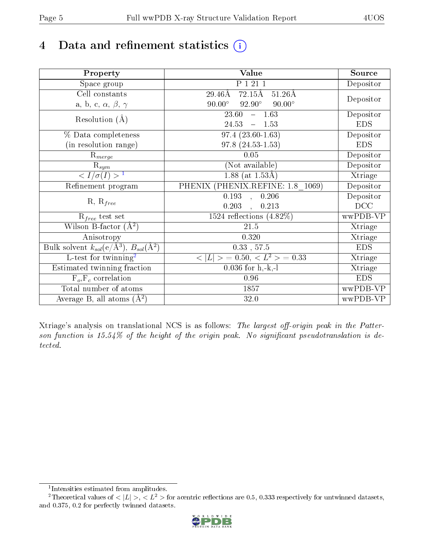# 4 Data and refinement statistics  $(i)$

| Property                                                   | <b>Value</b>                                                | Source     |
|------------------------------------------------------------|-------------------------------------------------------------|------------|
| Space group                                                | P 1 21 1                                                    | Depositor  |
| Cell constants                                             | $72.15\text{\AA}$<br>$29.46\text{\AA}$<br>$51.26\text{\AA}$ |            |
| a, b, c, $\alpha$ , $\beta$ , $\gamma$                     | $90.00^\circ$<br>$92.90^\circ$<br>$90.00^\circ$             | Depositor  |
| Resolution $(A)$                                           | 23.60<br>$-1.63$                                            | Depositor  |
|                                                            | 24.53<br>$-1.53$                                            | <b>EDS</b> |
| % Data completeness                                        | $97.4(23.60-1.63)$                                          | Depositor  |
| (in resolution range)                                      | $97.8(24.53-1.53)$                                          | <b>EDS</b> |
| $R_{merge}$                                                | $0.05\,$                                                    | Depositor  |
| $\mathrm{R}_{sym}$                                         | (Not available)                                             | Depositor  |
| $\sqrt{I/\sigma}(I) > 1$                                   | $\overline{1.88}$ (at 1.53Å)                                | Xtriage    |
| Refinement program                                         | PHENIX (PHENIX.REFINE: 1.8 1069)                            | Depositor  |
| $R, R_{free}$                                              | 0.193<br>0.206<br>$\bar{a}$                                 | Depositor  |
|                                                            | 0.203<br>0.213                                              | DCC        |
| $R_{free}$ test set                                        | 1524 reflections $(4.82\%)$                                 | wwPDB-VP   |
| Wilson B-factor $(A^2)$                                    | 21.5                                                        | Xtriage    |
| Anisotropy                                                 | 0.320                                                       | Xtriage    |
| Bulk solvent $k_{sol}$ (e/Å <sup>3</sup> ), $B_{sol}(A^2)$ | $0.33$ , $57.5$                                             | <b>EDS</b> |
| L-test for twinning <sup>2</sup>                           | $< L >$ = 0.50, $< L2$ = 0.33                               | Xtriage    |
| Estimated twinning fraction                                | $0.036$ for h,-k,-l                                         | Xtriage    |
| $F_o, F_c$ correlation                                     | 0.96                                                        | <b>EDS</b> |
| Total number of atoms                                      | 1857                                                        | wwPDB-VP   |
| Average B, all atoms $(A^2)$                               | 32.0                                                        | wwPDB-VP   |

Xtriage's analysis on translational NCS is as follows: The largest off-origin peak in the Patterson function is  $15.54\%$  of the height of the origin peak. No significant pseudotranslation is detected.

<sup>&</sup>lt;sup>2</sup>Theoretical values of  $\langle |L| \rangle$ ,  $\langle L^2 \rangle$  for acentric reflections are 0.5, 0.333 respectively for untwinned datasets, and 0.375, 0.2 for perfectly twinned datasets.



<span id="page-4-1"></span><span id="page-4-0"></span><sup>1</sup> Intensities estimated from amplitudes.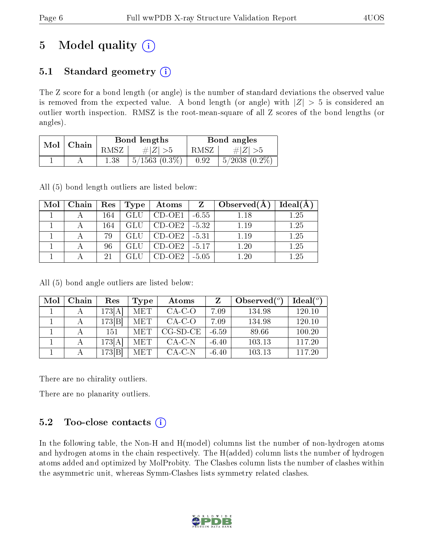# 5 Model quality  $(i)$

## 5.1 Standard geometry  $(i)$

The Z score for a bond length (or angle) is the number of standard deviations the observed value is removed from the expected value. A bond length (or angle) with  $|Z| > 5$  is considered an outlier worth inspection. RMSZ is the root-mean-square of all Z scores of the bond lengths (or angles).

| Mol | Chain |          | Bond lengths    | Bond angles |                   |  |
|-----|-------|----------|-----------------|-------------|-------------------|--|
|     |       | RMSZ     | # $ Z  > 5$     | RMSZ        | # $ Z  > 5$       |  |
|     |       | $1.38\,$ | $5/1563(0.3\%)$ | 0.92        | $5/2038$ $(0.2\%$ |  |

All (5) bond length outliers are listed below:

| Mol | Chain | ${\rm Res}$ | Type | Atoms    | Z       | Observed $(A)$ | Ideal(A) |
|-----|-------|-------------|------|----------|---------|----------------|----------|
|     |       | 164         |      | $CD-OE1$ | $-6.55$ | $1.18\,$       | 1.25     |
|     |       | 164         |      | CD-OE2   | $-5.32$ | 1.19           | 1.25     |
|     |       | 79          |      | $CD-OE2$ | $-5.31$ | 1.19           | 1.25     |
|     |       | 96          |      | CD-OE2   | $-5.17$ | $1.20\,$       | 1.25     |
|     |       | 21          |      | D-OE2    | $-5.05$ | l 20           | 1.25     |

All (5) bond angle outliers are listed below:

| Mol | Chain | $\operatorname{Res}% \left( \mathcal{N}\right) \equiv\operatorname{Res}(\mathcal{N}_{0})\cap\mathcal{N}_{1}$ | <b>Type</b> | Atoms      |         | Observed $\binom{o}{c}$ | $Ideal(^o)$ |
|-----|-------|--------------------------------------------------------------------------------------------------------------|-------------|------------|---------|-------------------------|-------------|
|     |       | 173[A]                                                                                                       | MET         | $CA-C-O$   | 7.09    | 134.98                  | 120.10      |
|     |       | 173[B]                                                                                                       | MET         | $CA-C-O$   | 7.09    | 134.98                  | 120.10      |
|     |       | 151                                                                                                          | MET         | $CG-SD-CE$ | $-6.59$ | 89.66                   | 100.20      |
|     |       | 173[A]                                                                                                       | MET         | $CA-C-N$   | $-6.40$ | 103.13                  | 117.20      |
|     |       | 173[B]                                                                                                       | MET         | $CA-C-N$   | $-6.40$ | 103.13                  | 117.20      |

There are no chirality outliers.

There are no planarity outliers.

### 5.2 Too-close contacts  $(i)$

In the following table, the Non-H and H(model) columns list the number of non-hydrogen atoms and hydrogen atoms in the chain respectively. The H(added) column lists the number of hydrogen atoms added and optimized by MolProbity. The Clashes column lists the number of clashes within the asymmetric unit, whereas Symm-Clashes lists symmetry related clashes.

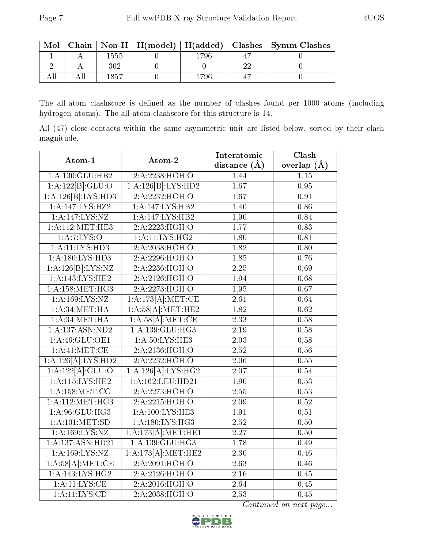| Mol |      |      | Chain   Non-H   H(model)   H(added)   Clashes   Symm-Clashes |
|-----|------|------|--------------------------------------------------------------|
|     | 1555 | 796  |                                                              |
|     |      |      |                                                              |
|     | 1857 | -796 |                                                              |

The all-atom clashscore is defined as the number of clashes found per 1000 atoms (including hydrogen atoms). The all-atom clashscore for this structure is 14.

All (47) close contacts within the same asymmetric unit are listed below, sorted by their clash magnitude.

| Atom-1                              | Atom-2              | Interatomic       | Clash             |
|-------------------------------------|---------------------|-------------------|-------------------|
|                                     |                     | distance $(\AA)$  | overlap $(A)$     |
| 1: A: 130: GLU: HB2                 | 2:A:2238:HOH:O      | 1.44              | 1.15              |
| 1:A:122[B]:GLU:O                    | 1:A:126[B]:LYS:HD2  | $\overline{1.67}$ | $\overline{0.95}$ |
| 1:A:126[B]:LYS:HD3                  | 2:A:2232:HOH:O      | $\overline{1.67}$ | 0.91              |
| 1:A:147:LYS:HZ2                     | 1:A:147:LYS:HB2     | 1.40              | 0.86              |
| $1:A:147:LYS:\overline{NZ}$         | 1:A:147:LYS:HB2     | 1.90              | 0.84              |
| 1:A:112:MET:HE3                     | 2:A:2223:HOH:O      | 1.77              | 0.83              |
| $1:A:7:\L[YS:O]$                    | 1: A:11:LYS:HG2     | 1.80              | 0.81              |
| 1: A:11:LYS:HD3                     | 2:A:2038:HOH:O      | $\overline{1.82}$ | 0.80              |
| $1:A:180:\overline{\text{LYS:HD3}}$ | 2:A:2296:HOH:O      | 1.85              | 0.76              |
| 1:A:126[B]:LYS:NZ                   | 2:A:2236:HOH:O      | 2.25              | 0.69              |
| 1:A:143:LYS:HE2                     | 2:A:2126:HOH:O      | 1.94              | 0.68              |
| 1: A:158:MET:HG3                    | 2:A:2273:HOH:O      | $\overline{1.95}$ | $\overline{0.67}$ |
| 1: A: 169: LYS: NZ                  | 1:A:173[A]:MET:CE   | $\overline{2.61}$ | 0.64              |
| 1: A:34:MET:HA                      | 1:A:58[A]:MET:HE2   | 1.82              | 0.62              |
| 1: A:34: MET:HA                     | 1:A:58[A]:MET:CE    | 2.33              | 0.58              |
| 1:A:137:ASN:ND2                     | 1:A:139:GLU:HG3     | 2.19              | 0.58              |
| 1: A:46: GLU:OE1                    | 1: A:50: LYS: HE3   | $\overline{2.03}$ | 0.58              |
| 1: A: 41: MET: CE                   | 2:A:2136:HOH:O      | $\overline{2.52}$ | $0.56\,$          |
| 1:A:126[A]:LYS:HD2                  | 2:A:2232:HOH:O      | $\overline{2.06}$ | $0.55\,$          |
| 1:A:122[A]:GLU:O                    | 1:A:126[A]:LYS:HG2  | 2.07              | 0.54              |
| 1: A:115:LYS:HE2                    | 1:A:162:LEU:HD21    | 1.90              | 0.53              |
| 1: A: 158: MET: CG                  | 2:A:2273:HOH:O      | $\overline{2.55}$ | 0.53              |
| 1: A:112: MET:HG3                   | 2:A:2215:HOH:O      | 2.09              | 0.52              |
| 1: A.96: GLU: HG3                   | 1:A:100:LYS:HE3     | 1.91              | $\overline{0.51}$ |
| 1: A: 101: MET: SD                  | 1: A:180: LYS: HG3  | $2.52\,$          | 0.50              |
| 1:A:169:LYS:NZ                      | 1:A:173[A]:MET:HE1  | 2.27              | 0.50              |
| 1:A:137:ASN:HD21                    | 1: A: 139: GLU: HG3 | 1.78              | 0.49              |
| 1: A: 169: LYS: NZ                  | 1:A:173[A]:MET:HE2  | 2.30              | 0.46              |
| 1:A:58[A]:MET:CE                    | 2:A:2091:HOH:O      | 2.63              | 0.46              |
| 1: A:143: LYS: HG2                  | 2:A:2126:HOH:O      | 2.16              | 0.45              |
| 1:A:11:LYS:CE                       | 2:A:2016:HOH:O      | 2.64              | 0.45              |
| $1:$ A: $11:LYS:CD$                 | 2:A:2038:HOH:O      | $\overline{2.53}$ | 0.45              |

Continued on next page...

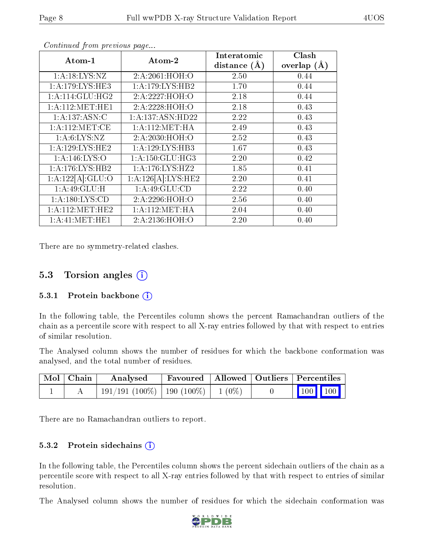| Atom-1              | Atom-2             | Interatomic      | Clash           |
|---------------------|--------------------|------------------|-----------------|
|                     |                    | distance $(\AA)$ | overlap $(\AA)$ |
| 1: A: 18: LYS: NZ   | 2:A:2061:HOH:O     | 2.50             | 0.44            |
| 1: A:179: LYS: HE3  | 1:A:179:LYS:HB2    | 1.70             | 0.44            |
| 1: A:114: GLU: HG2  | 2:A:2227:HOH:O     | 2.18             | 0.44            |
| 1: A: 112: MET: HE1 | 2:A:2228:HOH:O     | 2.18             | 0.43            |
| 1:A:137:ASN:C       | 1:A:137:ASN:HD22   | 2.22             | 0.43            |
| 1: A:112: MET:CE    | 1: A:112: MET:HA   | 2.49             | 0.43            |
| 1: A:6: LYS: NZ     | 2:A:2030:HOH:O     | 2.52             | 0.43            |
| 1: A:129: LYS: HE2  | 1:A:129:LYS:HB3    | 1.67             | 0.43            |
| 1: A:146: LYS:O     | 1:A:150:GLU:HG3    | 2.20             | 0.42            |
| 1: A:176: LYS: HB2  | 1: A:176: LYS: HZ2 | 1.85             | 0.41            |
| 1:A:122[A]:GLU:O    | 1:A:126[A]:LYS:HE2 | 2.20             | 0.41            |
| 1:A:49:GLU:H        | 1: A:49: GLU:CD    | 2.22             | 0.40            |
| 1: A: 180: LYS: CD  | 2:A:2296:HOH:O     | 2.56             | 0.40            |
| 1: A:112: MET:HE2   | 1: A:112: MET:HA   | 2.04             | 0.40            |
| 1: A: 41: MET: HE1  | 2:A:2136:HOH:O     | 2.20             | 0.40            |

Continued from previous page...

There are no symmetry-related clashes.

### 5.3 Torsion angles  $(i)$

#### 5.3.1 Protein backbone  $(i)$

In the following table, the Percentiles column shows the percent Ramachandran outliers of the chain as a percentile score with respect to all X-ray entries followed by that with respect to entries of similar resolution.

The Analysed column shows the number of residues for which the backbone conformation was analysed, and the total number of residues.

| Mol   Chain | Analysed                                  | Favoured   Allowed   Outliers   Percentiles |  |                                                              |
|-------------|-------------------------------------------|---------------------------------------------|--|--------------------------------------------------------------|
|             | $191/191 (100\%)   190 (100\%)   1 (0\%)$ |                                             |  | $\begin{array}{ c c c c c }\n\hline\n100 & 100\n\end{array}$ |

There are no Ramachandran outliers to report.

#### 5.3.2 Protein sidechains (i)

In the following table, the Percentiles column shows the percent sidechain outliers of the chain as a percentile score with respect to all X-ray entries followed by that with respect to entries of similar resolution.

The Analysed column shows the number of residues for which the sidechain conformation was

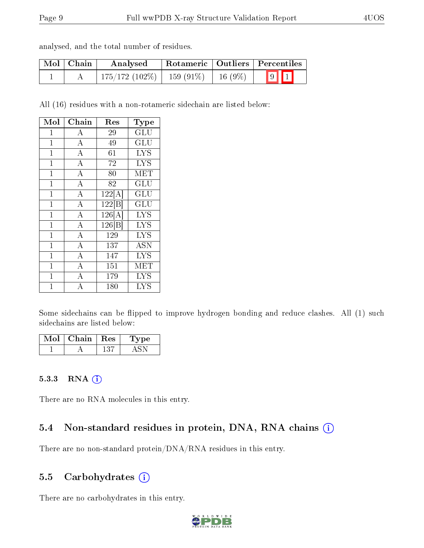| Mol   Chain | Analysed                       |           | Rotameric   Outliers   Percentiles |
|-------------|--------------------------------|-----------|------------------------------------|
|             | $175/172$ (102\%)   159 (91\%) | $16(9\%)$ | $9$ $1$                            |

All (16) residues with a non-rotameric sidechain are listed below:

| Mol            | Chain              | $\operatorname{Res}% \left( \mathcal{N}\right) \equiv\operatorname{Res}(\mathcal{N}_{0})\cap\mathcal{N}_{1}$ | Type                    |
|----------------|--------------------|--------------------------------------------------------------------------------------------------------------|-------------------------|
| 1              | А                  | 29                                                                                                           | GLU                     |
| $\overline{1}$ | $\boldsymbol{A}$   | 49                                                                                                           | GLU                     |
| $\mathbf{1}$   | $\overline{\rm A}$ | 61                                                                                                           | $\overline{\text{LYS}}$ |
| $\mathbf{1}$   | $\boldsymbol{A}$   | 72                                                                                                           | <b>LYS</b>              |
| $\mathbf{1}$   | $\overline{A}$     | 80                                                                                                           | MET                     |
| $\overline{1}$ | $\overline{A}$     | 82                                                                                                           | GLU                     |
| $\overline{1}$ | $\overline{A}$     | $122[\overline{A}]$                                                                                          | GLU                     |
| $\mathbf{1}$   | $\overline{\rm A}$ | 122 B                                                                                                        | $\operatorname{GLU}$    |
| $\overline{1}$ | $\overline{A}$     | $\overline{1}26[\text{A}]$                                                                                   | <b>LYS</b>              |
| $\overline{1}$ | $\overline{\rm A}$ | 126 B                                                                                                        | <b>LYS</b>              |
| $\mathbf{1}$   | $\overline{A}$     | 129                                                                                                          | <b>LYS</b>              |
| 1              | $\overline{A}$     | 137                                                                                                          | ASN                     |
| $\mathbf{1}$   | $\bf{A}$           | 147                                                                                                          | <b>LYS</b>              |
| $\overline{1}$ | $\overline{A}$     | 151                                                                                                          | MET                     |
| $\overline{1}$ | $\overline{\rm A}$ | 179                                                                                                          | <b>LYS</b>              |
| $\overline{1}$ | $\overline{A}$     | 180                                                                                                          | <b>LYS</b>              |

Some sidechains can be flipped to improve hydrogen bonding and reduce clashes. All (1) such sidechains are listed below:

| Mol | Chain | $\pm$ Res $\pm$ | 'Type |
|-----|-------|-----------------|-------|
|     |       |                 |       |

#### 5.3.3 RNA (1)

There are no RNA molecules in this entry.

### 5.4 Non-standard residues in protein, DNA, RNA chains (i)

There are no non-standard protein/DNA/RNA residues in this entry.

#### 5.5 Carbohydrates (i)

There are no carbohydrates in this entry.

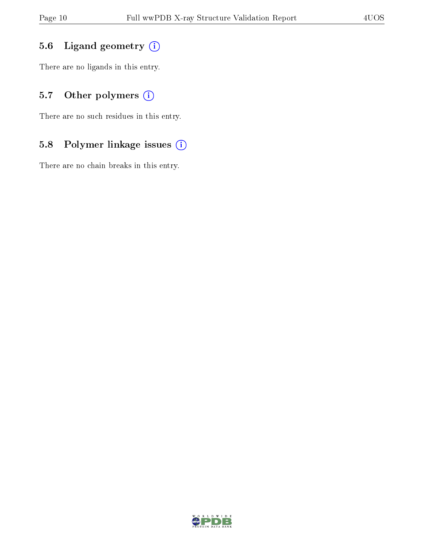### 5.6 Ligand geometry (i)

There are no ligands in this entry.

### 5.7 [O](https://www.wwpdb.org/validation/2017/XrayValidationReportHelp#nonstandard_residues_and_ligands)ther polymers (i)

There are no such residues in this entry.

### 5.8 Polymer linkage issues (i)

There are no chain breaks in this entry.